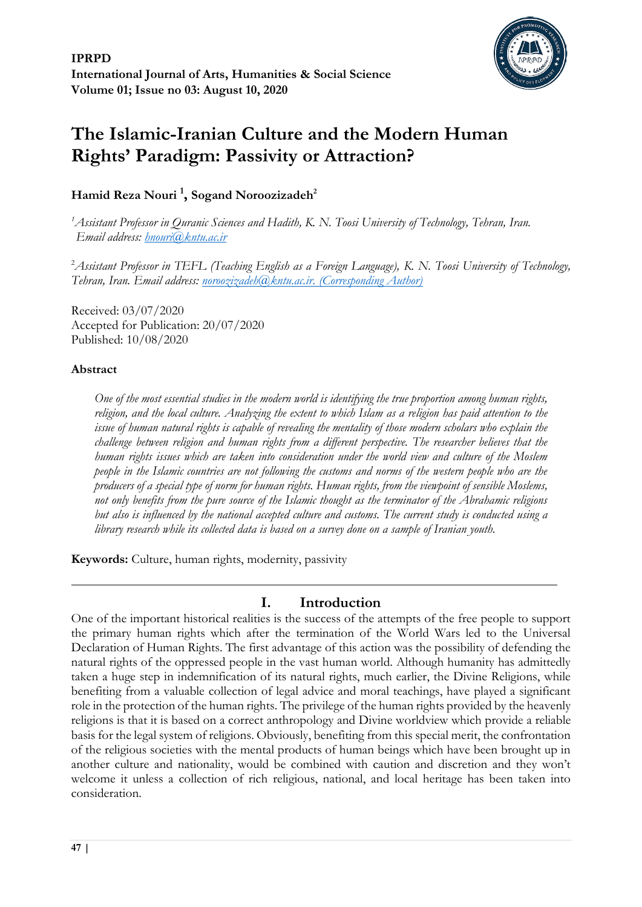

# **The Islamic-Iranian Culture and the Modern Human Rights' Paradigm: Passivity or Attraction?**

# **Hamid Reza Nouri <sup>1</sup> , Sogand Noroozizadeh<sup>2</sup>**

*<sup>1</sup>Assistant Professor in Quranic Sciences and Hadith, K. N. Toosi University of Technology, Tehran, Iran. Email address: [hnouri@kntu.ac.ir](mailto:hnouri@kntu.ac.ir)*

<sup>2</sup>*Assistant Professor in TEFL (Teaching English as a Foreign Language), K. N. Toosi University of Technology, Tehran, Iran. Email address: [noroozizadeh@kntu.ac.ir.](mailto:noroozizadeh@kntu.ac.ir) (Corresponding Author)*

Received: 03/07/2020 Accepted for Publication: 20/07/2020 Published: 10/08/2020

# **Abstract**

*One of the most essential studies in the modern world is identifying the true proportion among human rights, religion, and the local culture. Analyzing the extent to which Islam as a religion has paid attention to the issue of human natural rights is capable of revealing the mentality of those modern scholars who explain the challenge between religion and human rights from a different perspective. The researcher believes that the human rights issues which are taken into consideration under the world view and culture of the Moslem people in the Islamic countries are not following the customs and norms of the western people who are the producers of a special type of norm for human rights. Human rights, from the viewpoint of sensible Moslems, not only benefits from the pure source of the Islamic thought as the terminator of the Abrahamic religions but also is influenced by the national accepted culture and customs. The current study is conducted using a library research while its collected data is based on a survey done on a sample of Iranian youth.* 

**Keywords:** Culture, human rights, modernity, passivity

# **I. Introduction**

One of the important historical realities is the success of the attempts of the free people to support the primary human rights which after the termination of the World Wars led to the Universal Declaration of Human Rights. The first advantage of this action was the possibility of defending the natural rights of the oppressed people in the vast human world. Although humanity has admittedly taken a huge step in indemnification of its natural rights, much earlier, the Divine Religions, while benefiting from a valuable collection of legal advice and moral teachings, have played a significant role in the protection of the human rights. The privilege of the human rights provided by the heavenly religions is that it is based on a correct anthropology and Divine worldview which provide a reliable basis for the legal system of religions. Obviously, benefiting from this special merit, the confrontation of the religious societies with the mental products of human beings which have been brought up in another culture and nationality, would be combined with caution and discretion and they won't welcome it unless a collection of rich religious, national, and local heritage has been taken into consideration.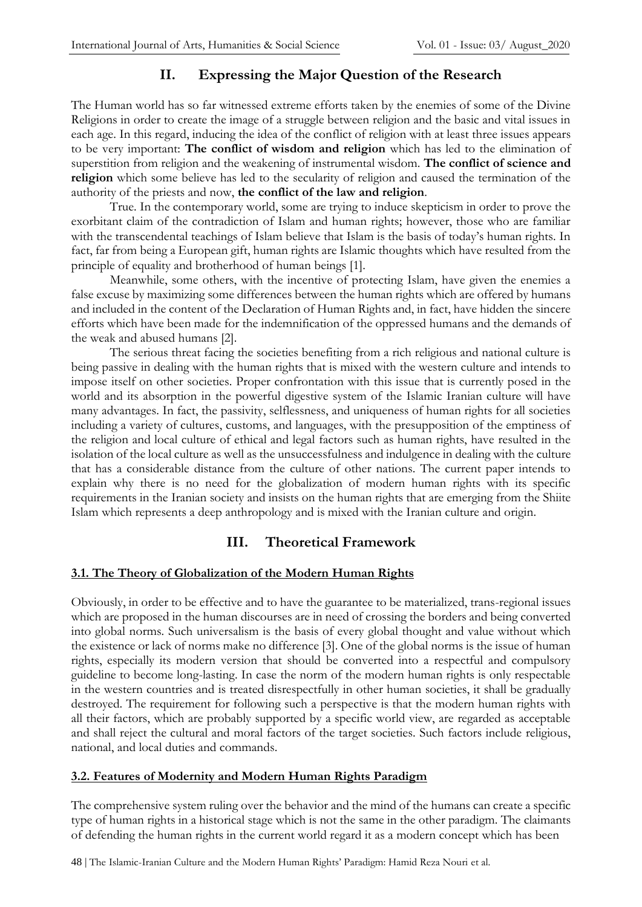# **II. Expressing the Major Question of the Research**

The Human world has so far witnessed extreme efforts taken by the enemies of some of the Divine Religions in order to create the image of a struggle between religion and the basic and vital issues in each age. In this regard, inducing the idea of the conflict of religion with at least three issues appears to be very important: **The conflict of wisdom and religion** which has led to the elimination of superstition from religion and the weakening of instrumental wisdom. **The conflict of science and religion** which some believe has led to the secularity of religion and caused the termination of the authority of the priests and now, **the conflict of the law and religion**.

True. In the contemporary world, some are trying to induce skepticism in order to prove the exorbitant claim of the contradiction of Islam and human rights; however, those who are familiar with the transcendental teachings of Islam believe that Islam is the basis of today's human rights. In fact, far from being a European gift, human rights are Islamic thoughts which have resulted from the principle of equality and brotherhood of human beings [1].

Meanwhile, some others, with the incentive of protecting Islam, have given the enemies a false excuse by maximizing some differences between the human rights which are offered by humans and included in the content of the Declaration of Human Rights and, in fact, have hidden the sincere efforts which have been made for the indemnification of the oppressed humans and the demands of the weak and abused humans [2].

The serious threat facing the societies benefiting from a rich religious and national culture is being passive in dealing with the human rights that is mixed with the western culture and intends to impose itself on other societies. Proper confrontation with this issue that is currently posed in the world and its absorption in the powerful digestive system of the Islamic Iranian culture will have many advantages. In fact, the passivity, selflessness, and uniqueness of human rights for all societies including a variety of cultures, customs, and languages, with the presupposition of the emptiness of the religion and local culture of ethical and legal factors such as human rights, have resulted in the isolation of the local culture as well as the unsuccessfulness and indulgence in dealing with the culture that has a considerable distance from the culture of other nations. The current paper intends to explain why there is no need for the globalization of modern human rights with its specific requirements in the Iranian society and insists on the human rights that are emerging from the Shiite Islam which represents a deep anthropology and is mixed with the Iranian culture and origin.

# **III. Theoretical Framework**

#### **3.1. The Theory of Globalization of the Modern Human Rights**

Obviously, in order to be effective and to have the guarantee to be materialized, trans-regional issues which are proposed in the human discourses are in need of crossing the borders and being converted into global norms. Such universalism is the basis of every global thought and value without which the existence or lack of norms make no difference [3]. One of the global norms is the issue of human rights, especially its modern version that should be converted into a respectful and compulsory guideline to become long-lasting. In case the norm of the modern human rights is only respectable in the western countries and is treated disrespectfully in other human societies, it shall be gradually destroyed. The requirement for following such a perspective is that the modern human rights with all their factors, which are probably supported by a specific world view, are regarded as acceptable and shall reject the cultural and moral factors of the target societies. Such factors include religious, national, and local duties and commands.

# **3.2. Features of Modernity and Modern Human Rights Paradigm**

The comprehensive system ruling over the behavior and the mind of the humans can create a specific type of human rights in a historical stage which is not the same in the other paradigm. The claimants of defending the human rights in the current world regard it as a modern concept which has been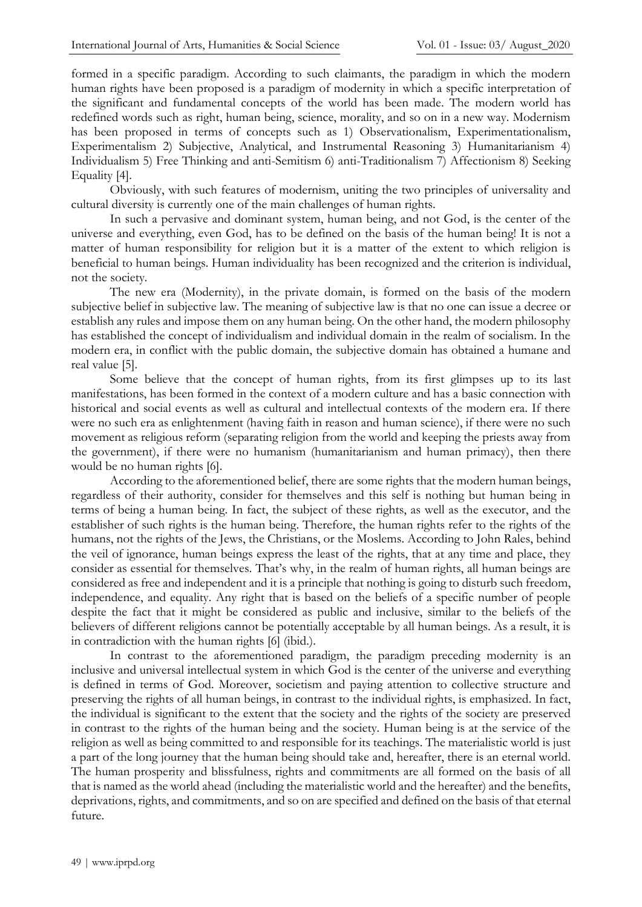formed in a specific paradigm. According to such claimants, the paradigm in which the modern human rights have been proposed is a paradigm of modernity in which a specific interpretation of the significant and fundamental concepts of the world has been made. The modern world has redefined words such as right, human being, science, morality, and so on in a new way. Modernism has been proposed in terms of concepts such as 1) Observationalism, Experimentationalism, Experimentalism 2) Subjective, Analytical, and Instrumental Reasoning 3) Humanitarianism 4) Individualism 5) Free Thinking and anti-Semitism 6) anti-Traditionalism 7) Affectionism 8) Seeking Equality [4].

Obviously, with such features of modernism, uniting the two principles of universality and cultural diversity is currently one of the main challenges of human rights.

In such a pervasive and dominant system, human being, and not God, is the center of the universe and everything, even God, has to be defined on the basis of the human being! It is not a matter of human responsibility for religion but it is a matter of the extent to which religion is beneficial to human beings. Human individuality has been recognized and the criterion is individual, not the society.

The new era (Modernity), in the private domain, is formed on the basis of the modern subjective belief in subjective law. The meaning of subjective law is that no one can issue a decree or establish any rules and impose them on any human being. On the other hand, the modern philosophy has established the concept of individualism and individual domain in the realm of socialism. In the modern era, in conflict with the public domain, the subjective domain has obtained a humane and real value [5].

Some believe that the concept of human rights, from its first glimpses up to its last manifestations, has been formed in the context of a modern culture and has a basic connection with historical and social events as well as cultural and intellectual contexts of the modern era. If there were no such era as enlightenment (having faith in reason and human science), if there were no such movement as religious reform (separating religion from the world and keeping the priests away from the government), if there were no humanism (humanitarianism and human primacy), then there would be no human rights [6].

According to the aforementioned belief, there are some rights that the modern human beings, regardless of their authority, consider for themselves and this self is nothing but human being in terms of being a human being. In fact, the subject of these rights, as well as the executor, and the establisher of such rights is the human being. Therefore, the human rights refer to the rights of the humans, not the rights of the Jews, the Christians, or the Moslems. According to John Rales, behind the veil of ignorance, human beings express the least of the rights, that at any time and place, they consider as essential for themselves. That's why, in the realm of human rights, all human beings are considered as free and independent and it is a principle that nothing is going to disturb such freedom, independence, and equality. Any right that is based on the beliefs of a specific number of people despite the fact that it might be considered as public and inclusive, similar to the beliefs of the believers of different religions cannot be potentially acceptable by all human beings. As a result, it is in contradiction with the human rights [6] (ibid.).

In contrast to the aforementioned paradigm, the paradigm preceding modernity is an inclusive and universal intellectual system in which God is the center of the universe and everything is defined in terms of God. Moreover, societism and paying attention to collective structure and preserving the rights of all human beings, in contrast to the individual rights, is emphasized. In fact, the individual is significant to the extent that the society and the rights of the society are preserved in contrast to the rights of the human being and the society. Human being is at the service of the religion as well as being committed to and responsible for its teachings. The materialistic world is just a part of the long journey that the human being should take and, hereafter, there is an eternal world. The human prosperity and blissfulness, rights and commitments are all formed on the basis of all that is named as the world ahead (including the materialistic world and the hereafter) and the benefits, deprivations, rights, and commitments, and so on are specified and defined on the basis of that eternal future.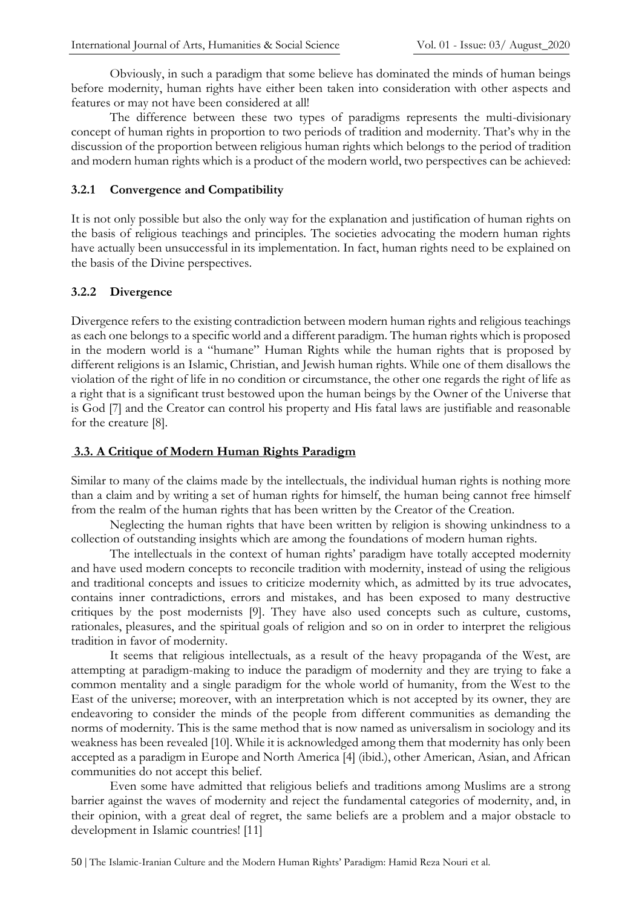Obviously, in such a paradigm that some believe has dominated the minds of human beings before modernity, human rights have either been taken into consideration with other aspects and features or may not have been considered at all!

The difference between these two types of paradigms represents the multi-divisionary concept of human rights in proportion to two periods of tradition and modernity. That's why in the discussion of the proportion between religious human rights which belongs to the period of tradition and modern human rights which is a product of the modern world, two perspectives can be achieved:

#### **3.2.1 Convergence and Compatibility**

It is not only possible but also the only way for the explanation and justification of human rights on the basis of religious teachings and principles. The societies advocating the modern human rights have actually been unsuccessful in its implementation. In fact, human rights need to be explained on the basis of the Divine perspectives.

### **3.2.2 Divergence**

Divergence refers to the existing contradiction between modern human rights and religious teachings as each one belongs to a specific world and a different paradigm. The human rights which is proposed in the modern world is a "humane" Human Rights while the human rights that is proposed by different religions is an Islamic, Christian, and Jewish human rights. While one of them disallows the violation of the right of life in no condition or circumstance, the other one regards the right of life as a right that is a significant trust bestowed upon the human beings by the Owner of the Universe that is God [7] and the Creator can control his property and His fatal laws are justifiable and reasonable for the creature [8].

# **3.3. A Critique of Modern Human Rights Paradigm**

Similar to many of the claims made by the intellectuals, the individual human rights is nothing more than a claim and by writing a set of human rights for himself, the human being cannot free himself from the realm of the human rights that has been written by the Creator of the Creation.

Neglecting the human rights that have been written by religion is showing unkindness to a collection of outstanding insights which are among the foundations of modern human rights.

The intellectuals in the context of human rights' paradigm have totally accepted modernity and have used modern concepts to reconcile tradition with modernity, instead of using the religious and traditional concepts and issues to criticize modernity which, as admitted by its true advocates, contains inner contradictions, errors and mistakes, and has been exposed to many destructive critiques by the post modernists [9]. They have also used concepts such as culture, customs, rationales, pleasures, and the spiritual goals of religion and so on in order to interpret the religious tradition in favor of modernity.

It seems that religious intellectuals, as a result of the heavy propaganda of the West, are attempting at paradigm-making to induce the paradigm of modernity and they are trying to fake a common mentality and a single paradigm for the whole world of humanity, from the West to the East of the universe; moreover, with an interpretation which is not accepted by its owner, they are endeavoring to consider the minds of the people from different communities as demanding the norms of modernity. This is the same method that is now named as universalism in sociology and its weakness has been revealed [10]. While it is acknowledged among them that modernity has only been accepted as a paradigm in Europe and North America [4] (ibid.), other American, Asian, and African communities do not accept this belief.

Even some have admitted that religious beliefs and traditions among Muslims are a strong barrier against the waves of modernity and reject the fundamental categories of modernity, and, in their opinion, with a great deal of regret, the same beliefs are a problem and a major obstacle to development in Islamic countries! [11]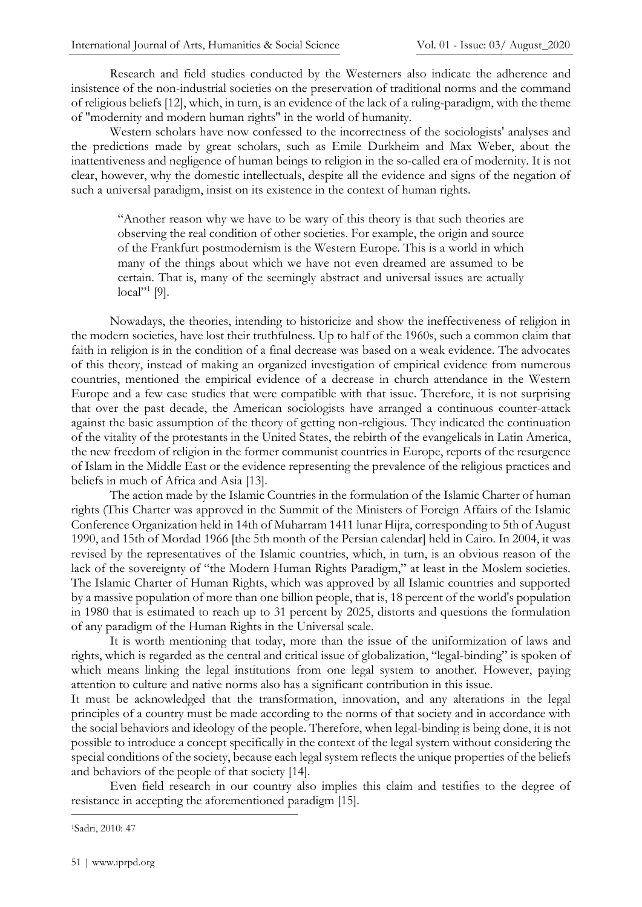Research and field studies conducted by the Westerners also indicate the adherence and insistence of the non-industrial societies on the preservation of traditional norms and the command of religious beliefs [12], which, in turn, is an evidence of the lack of a ruling-paradigm, with the theme of "modernity and modern human rights" in the world of humanity.

Western scholars have now confessed to the incorrectness of the sociologists' analyses and the predictions made by great scholars, such as Emile Durkheim and Max Weber, about the inattentiveness and negligence of human beings to religion in the so-called era of modernity. It is not clear, however, why the domestic intellectuals, despite all the evidence and signs of the negation of such a universal paradigm, insist on its existence in the context of human rights.

"Another reason why we have to be wary of this theory is that such theories are observing the real condition of other societies. For example, the origin and source of the Frankfurt postmodernism is the Western Europe. This is a world in which many of the things about which we have not even dreamed are assumed to be certain. That is, many of the seemingly abstract and universal issues are actually local"<sup>1</sup> [9].

Nowadays, the theories, intending to historicize and show the ineffectiveness of religion in the modern societies, have lost their truthfulness. Up to half of the 1960s, such a common claim that faith in religion is in the condition of a final decrease was based on a weak evidence. The advocates of this theory, instead of making an organized investigation of empirical evidence from numerous countries, mentioned the empirical evidence of a decrease in church attendance in the Western Europe and a few case studies that were compatible with that issue. Therefore, it is not surprising that over the past decade, the American sociologists have arranged a continuous counter-attack against the basic assumption of the theory of getting non-religious. They indicated the continuation of the vitality of the protestants in the United States, the rebirth of the evangelicals in Latin America, the new freedom of religion in the former communist countries in Europe, reports of the resurgence of Islam in the Middle East or the evidence representing the prevalence of the religious practices and beliefs in much of Africa and Asia [13].

The action made by the Islamic Countries in the formulation of the Islamic Charter of human rights (This Charter was approved in the Summit of the Ministers of Foreign Affairs of the Islamic Conference Organization held in 14th of Muharram 1411 lunar Hijra, corresponding to 5th of August 1990, and 15th of Mordad 1966 [the 5th month of the Persian calendar] held in Cairo. In 2004, it was revised by the representatives of the Islamic countries, which, in turn, is an obvious reason of the lack of the sovereignty of "the Modern Human Rights Paradigm," at least in the Moslem societies. The Islamic Charter of Human Rights, which was approved by all Islamic countries and supported by a massive population of more than one billion people, that is, 18 percent of the world's population in 1980 that is estimated to reach up to 31 percent by 2025, distorts and questions the formulation of any paradigm of the Human Rights in the Universal scale.

It is worth mentioning that today, more than the issue of the uniformization of laws and rights, which is regarded as the central and critical issue of globalization, "legal-binding" is spoken of which means linking the legal institutions from one legal system to another. However, paying attention to culture and native norms also has a significant contribution in this issue.

It must be acknowledged that the transformation, innovation, and any alterations in the legal principles of a country must be made according to the norms of that society and in accordance with the social behaviors and ideology of the people. Therefore, when legal-binding is being done, it is not possible to introduce a concept specifically in the context of the legal system without considering the special conditions of the society, because each legal system reflects the unique properties of the beliefs and behaviors of the people of that society [14].

Even field research in our country also implies this claim and testifies to the degree of resistance in accepting the aforementioned paradigm [15].

<sup>1</sup>Sadri, 2010: 47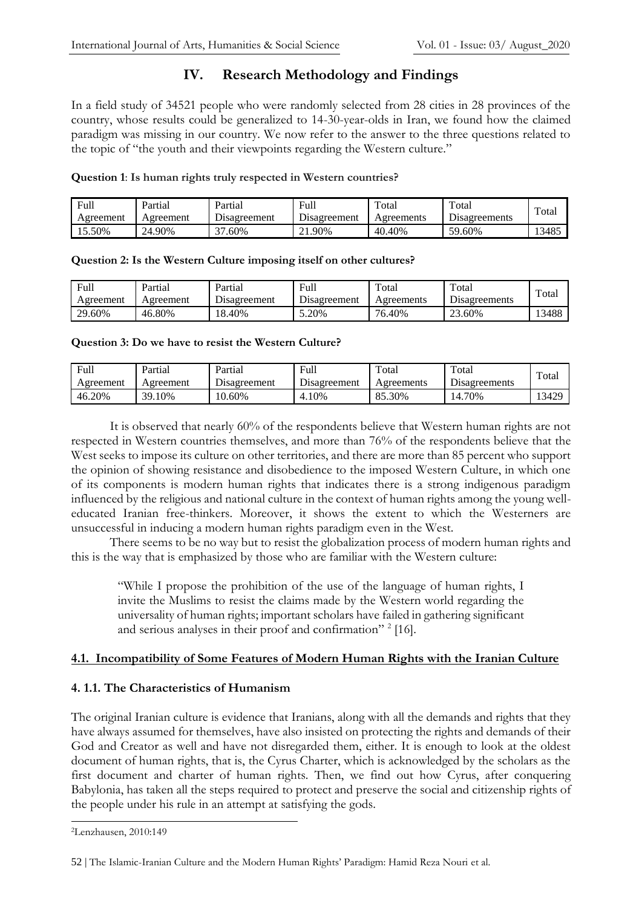# **IV. Research Methodology and Findings**

In a field study of 34521 people who were randomly selected from 28 cities in 28 provinces of the country, whose results could be generalized to 14-30-year-olds in Iran, we found how the claimed paradigm was missing in our country. We now refer to the answer to the three questions related to the topic of "the youth and their viewpoints regarding the Western culture."

#### **Question 1**: **Is human rights truly respected in Western countries?**

| Full      | Partial   | Partial                          | Full            | Total      | Total                | Total |
|-----------|-----------|----------------------------------|-----------------|------------|----------------------|-------|
| Agreement | Agreement | Disagreement                     | Disagreement    | Agreements | <b>Disagreements</b> |       |
| .5.50%    | 24.90%    | $\overline{\phantom{a}}$<br>.60% | $\angle 1.90\%$ | 40.40%     | 59.60%               | 13485 |

#### **Question 2: Is the Western Culture imposing itself on other cultures?**

| Full      | Partial   | Partial      | Full         | Total      | Total                 | Total |
|-----------|-----------|--------------|--------------|------------|-----------------------|-------|
| Agreement | Agreement | Disagreement | Disagreement | Agreements | <b>D</b> isagreements |       |
| 29.60%    | 46.80%    | 18.40%       | 5.20%        | 76.40%     | 23.60%                | 13488 |

#### **Question 3: Do we have to resist the Western Culture?**

| Full      | Partial   | Partial             | Full                       | Total      | Total         | Total |
|-----------|-----------|---------------------|----------------------------|------------|---------------|-------|
| Agreement | Agreement | <b>Disagreement</b> | $\sqrt{ }$<br>Disagreement | Agreements | Disagreements |       |
| 46.20%    | 39.10%    | 10.60%              | 4.10%                      | 85.30%     | 14.70%        | 13429 |

It is observed that nearly 60% of the respondents believe that Western human rights are not respected in Western countries themselves, and more than 76% of the respondents believe that the West seeks to impose its culture on other territories, and there are more than 85 percent who support the opinion of showing resistance and disobedience to the imposed Western Culture, in which one of its components is modern human rights that indicates there is a strong indigenous paradigm influenced by the religious and national culture in the context of human rights among the young welleducated Iranian free-thinkers. Moreover, it shows the extent to which the Westerners are unsuccessful in inducing a modern human rights paradigm even in the West.

There seems to be no way but to resist the globalization process of modern human rights and this is the way that is emphasized by those who are familiar with the Western culture:

"While I propose the prohibition of the use of the language of human rights, I invite the Muslims to resist the claims made by the Western world regarding the universality of human rights; important scholars have failed in gathering significant and serious analyses in their proof and confirmation"<sup>2</sup> [16].

#### **4.1. Incompatibility of Some Features of Modern Human Rights with the Iranian Culture**

#### **4. 1.1. The Characteristics of Humanism**

The original Iranian culture is evidence that Iranians, along with all the demands and rights that they have always assumed for themselves, have also insisted on protecting the rights and demands of their God and Creator as well and have not disregarded them, either. It is enough to look at the oldest document of human rights, that is, the Cyrus Charter, which is acknowledged by the scholars as the first document and charter of human rights. Then, we find out how Cyrus, after conquering Babylonia, has taken all the steps required to protect and preserve the social and citizenship rights of the people under his rule in an attempt at satisfying the gods.

<sup>2</sup>Lenzhausen, 2010:149

<sup>52</sup> | The Islamic-Iranian Culture and the Modern Human Rights' Paradigm: Hamid Reza Nouri et al.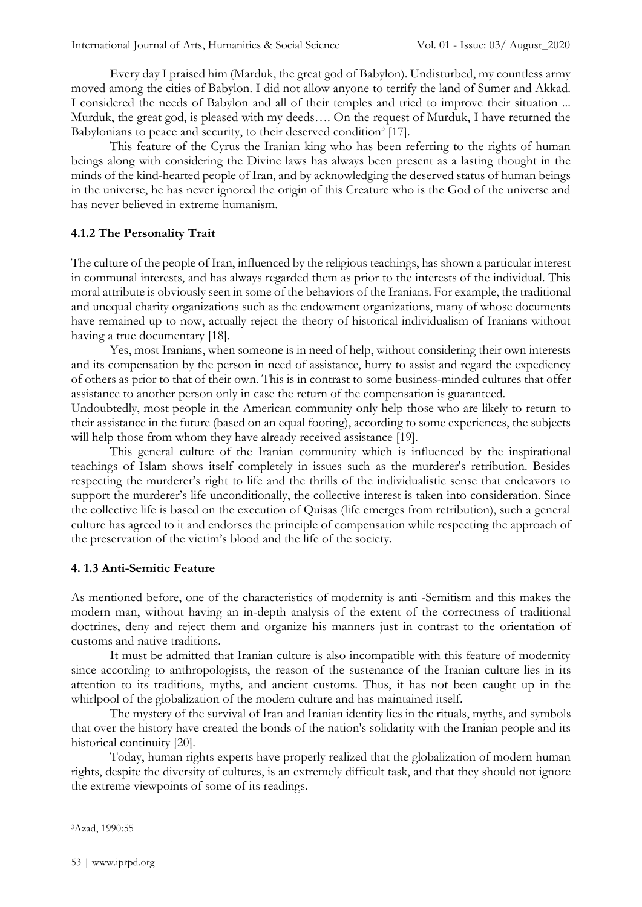Every day I praised him (Marduk, the great god of Babylon). Undisturbed, my countless army moved among the cities of Babylon. I did not allow anyone to terrify the land of Sumer and Akkad. I considered the needs of Babylon and all of their temples and tried to improve their situation ... Murduk, the great god, is pleased with my deeds…. On the request of Murduk, I have returned the Babylonians to peace and security, to their deserved condition<sup>3</sup> [17].

This feature of the Cyrus the Iranian king who has been referring to the rights of human beings along with considering the Divine laws has always been present as a lasting thought in the minds of the kind-hearted people of Iran, and by acknowledging the deserved status of human beings in the universe, he has never ignored the origin of this Creature who is the God of the universe and has never believed in extreme humanism.

#### **4.1.2 The Personality Trait**

The culture of the people of Iran, influenced by the religious teachings, has shown a particular interest in communal interests, and has always regarded them as prior to the interests of the individual. This moral attribute is obviously seen in some of the behaviors of the Iranians. For example, the traditional and unequal charity organizations such as the endowment organizations, many of whose documents have remained up to now, actually reject the theory of historical individualism of Iranians without having a true documentary [18].

Yes, most Iranians, when someone is in need of help, without considering their own interests and its compensation by the person in need of assistance, hurry to assist and regard the expediency of others as prior to that of their own. This is in contrast to some business-minded cultures that offer assistance to another person only in case the return of the compensation is guaranteed.

Undoubtedly, most people in the American community only help those who are likely to return to their assistance in the future (based on an equal footing), according to some experiences, the subjects will help those from whom they have already received assistance [19].

This general culture of the Iranian community which is influenced by the inspirational teachings of Islam shows itself completely in issues such as the murderer's retribution. Besides respecting the murderer's right to life and the thrills of the individualistic sense that endeavors to support the murderer's life unconditionally, the collective interest is taken into consideration. Since the collective life is based on the execution of Quisas (life emerges from retribution), such a general culture has agreed to it and endorses the principle of compensation while respecting the approach of the preservation of the victim's blood and the life of the society.

#### **4. 1.3 Anti-Semitic Feature**

As mentioned before, one of the characteristics of modernity is anti -Semitism and this makes the modern man, without having an in-depth analysis of the extent of the correctness of traditional doctrines, deny and reject them and organize his manners just in contrast to the orientation of customs and native traditions.

It must be admitted that Iranian culture is also incompatible with this feature of modernity since according to anthropologists, the reason of the sustenance of the Iranian culture lies in its attention to its traditions, myths, and ancient customs. Thus, it has not been caught up in the whirlpool of the globalization of the modern culture and has maintained itself.

The mystery of the survival of Iran and Iranian identity lies in the rituals, myths, and symbols that over the history have created the bonds of the nation's solidarity with the Iranian people and its historical continuity [20].

Today, human rights experts have properly realized that the globalization of modern human rights, despite the diversity of cultures, is an extremely difficult task, and that they should not ignore the extreme viewpoints of some of its readings.

<sup>3</sup>Azad, 1990:55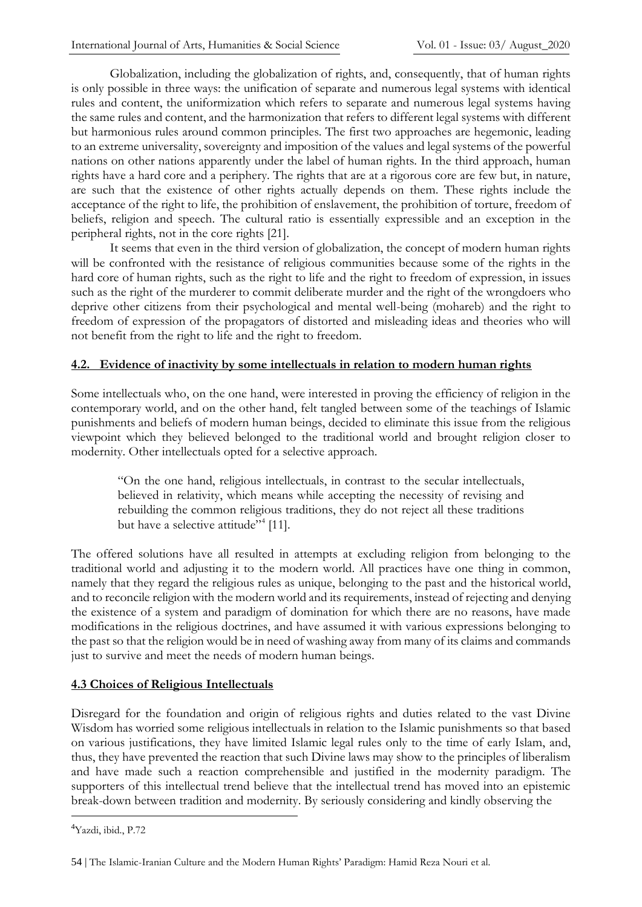Globalization, including the globalization of rights, and, consequently, that of human rights is only possible in three ways: the unification of separate and numerous legal systems with identical rules and content, the uniformization which refers to separate and numerous legal systems having the same rules and content, and the harmonization that refers to different legal systems with different but harmonious rules around common principles. The first two approaches are hegemonic, leading to an extreme universality, sovereignty and imposition of the values and legal systems of the powerful nations on other nations apparently under the label of human rights. In the third approach, human rights have a hard core and a periphery. The rights that are at a rigorous core are few but, in nature, are such that the existence of other rights actually depends on them. These rights include the acceptance of the right to life, the prohibition of enslavement, the prohibition of torture, freedom of beliefs, religion and speech. The cultural ratio is essentially expressible and an exception in the peripheral rights, not in the core rights [21].

It seems that even in the third version of globalization, the concept of modern human rights will be confronted with the resistance of religious communities because some of the rights in the hard core of human rights, such as the right to life and the right to freedom of expression, in issues such as the right of the murderer to commit deliberate murder and the right of the wrongdoers who deprive other citizens from their psychological and mental well-being (mohareb) and the right to freedom of expression of the propagators of distorted and misleading ideas and theories who will not benefit from the right to life and the right to freedom.

#### **4.2. Evidence of inactivity by some intellectuals in relation to modern human rights**

Some intellectuals who, on the one hand, were interested in proving the efficiency of religion in the contemporary world, and on the other hand, felt tangled between some of the teachings of Islamic punishments and beliefs of modern human beings, decided to eliminate this issue from the religious viewpoint which they believed belonged to the traditional world and brought religion closer to modernity. Other intellectuals opted for a selective approach.

"On the one hand, religious intellectuals, in contrast to the secular intellectuals, believed in relativity, which means while accepting the necessity of revising and rebuilding the common religious traditions, they do not reject all these traditions but have a selective attitude"<sup>4</sup> [11].

The offered solutions have all resulted in attempts at excluding religion from belonging to the traditional world and adjusting it to the modern world. All practices have one thing in common, namely that they regard the religious rules as unique, belonging to the past and the historical world, and to reconcile religion with the modern world and its requirements, instead of rejecting and denying the existence of a system and paradigm of domination for which there are no reasons, have made modifications in the religious doctrines, and have assumed it with various expressions belonging to the past so that the religion would be in need of washing away from many of its claims and commands just to survive and meet the needs of modern human beings.

#### **4.3 Choices of Religious Intellectuals**

Disregard for the foundation and origin of religious rights and duties related to the vast Divine Wisdom has worried some religious intellectuals in relation to the Islamic punishments so that based on various justifications, they have limited Islamic legal rules only to the time of early Islam, and, thus, they have prevented the reaction that such Divine laws may show to the principles of liberalism and have made such a reaction comprehensible and justified in the modernity paradigm. The supporters of this intellectual trend believe that the intellectual trend has moved into an epistemic break-down between tradition and modernity. By seriously considering and kindly observing the

<sup>4</sup>Yazdi, ibid., P.72

<sup>54</sup> | The Islamic-Iranian Culture and the Modern Human Rights' Paradigm: Hamid Reza Nouri et al.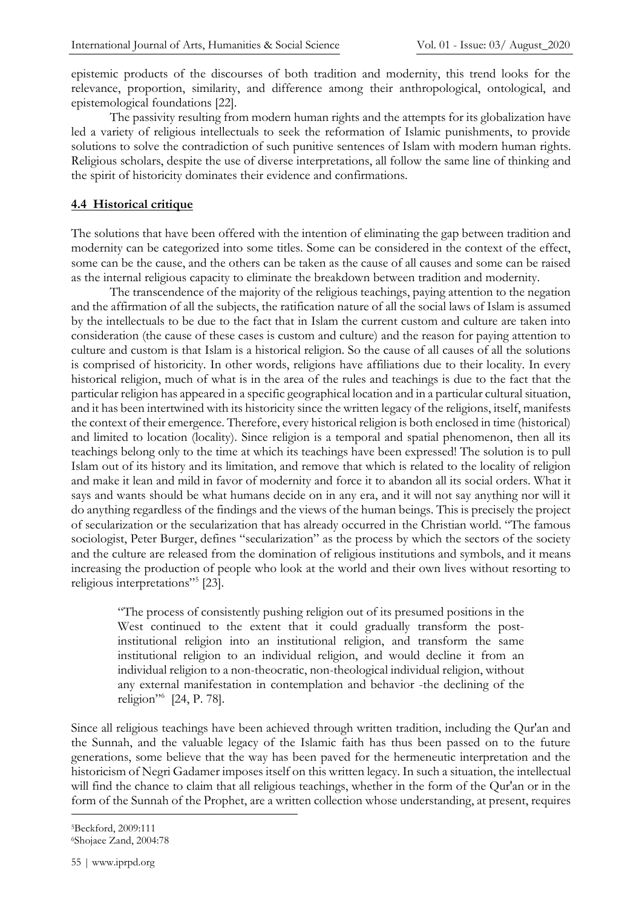epistemic products of the discourses of both tradition and modernity, this trend looks for the relevance, proportion, similarity, and difference among their anthropological, ontological, and epistemological foundations [22].

The passivity resulting from modern human rights and the attempts for its globalization have led a variety of religious intellectuals to seek the reformation of Islamic punishments, to provide solutions to solve the contradiction of such punitive sentences of Islam with modern human rights. Religious scholars, despite the use of diverse interpretations, all follow the same line of thinking and the spirit of historicity dominates their evidence and confirmations.

#### **4.4 Historical critique**

The solutions that have been offered with the intention of eliminating the gap between tradition and modernity can be categorized into some titles. Some can be considered in the context of the effect, some can be the cause, and the others can be taken as the cause of all causes and some can be raised as the internal religious capacity to eliminate the breakdown between tradition and modernity.

The transcendence of the majority of the religious teachings, paying attention to the negation and the affirmation of all the subjects, the ratification nature of all the social laws of Islam is assumed by the intellectuals to be due to the fact that in Islam the current custom and culture are taken into consideration (the cause of these cases is custom and culture) and the reason for paying attention to culture and custom is that Islam is a historical religion. So the cause of all causes of all the solutions is comprised of historicity. In other words, religions have affiliations due to their locality. In every historical religion, much of what is in the area of the rules and teachings is due to the fact that the particular religion has appeared in a specific geographical location and in a particular cultural situation, and it has been intertwined with its historicity since the written legacy of the religions, itself, manifests the context of their emergence. Therefore, every historical religion is both enclosed in time (historical) and limited to location (locality). Since religion is a temporal and spatial phenomenon, then all its teachings belong only to the time at which its teachings have been expressed! The solution is to pull Islam out of its history and its limitation, and remove that which is related to the locality of religion and make it lean and mild in favor of modernity and force it to abandon all its social orders. What it says and wants should be what humans decide on in any era, and it will not say anything nor will it do anything regardless of the findings and the views of the human beings. This is precisely the project of secularization or the secularization that has already occurred in the Christian world. "The famous sociologist, Peter Burger, defines "secularization" as the process by which the sectors of the society and the culture are released from the domination of religious institutions and symbols, and it means increasing the production of people who look at the world and their own lives without resorting to religious interpretations"<sup>5</sup> [23].

"The process of consistently pushing religion out of its presumed positions in the West continued to the extent that it could gradually transform the postinstitutional religion into an institutional religion, and transform the same institutional religion to an individual religion, and would decline it from an individual religion to a non-theocratic, non-theological individual religion, without any external manifestation in contemplation and behavior -the declining of the religion"<sup>6</sup> [24, P. 78].

Since all religious teachings have been achieved through written tradition, including the Qur'an and the Sunnah, and the valuable legacy of the Islamic faith has thus been passed on to the future generations, some believe that the way has been paved for the hermeneutic interpretation and the historicism of Negri Gadamer imposes itself on this written legacy. In such a situation, the intellectual will find the chance to claim that all religious teachings, whether in the form of the Qur'an or in the form of the Sunnah of the Prophet, are a written collection whose understanding, at present, requires

<sup>5</sup>Beckford, 2009:111 6Shojaee Zand, 2004:78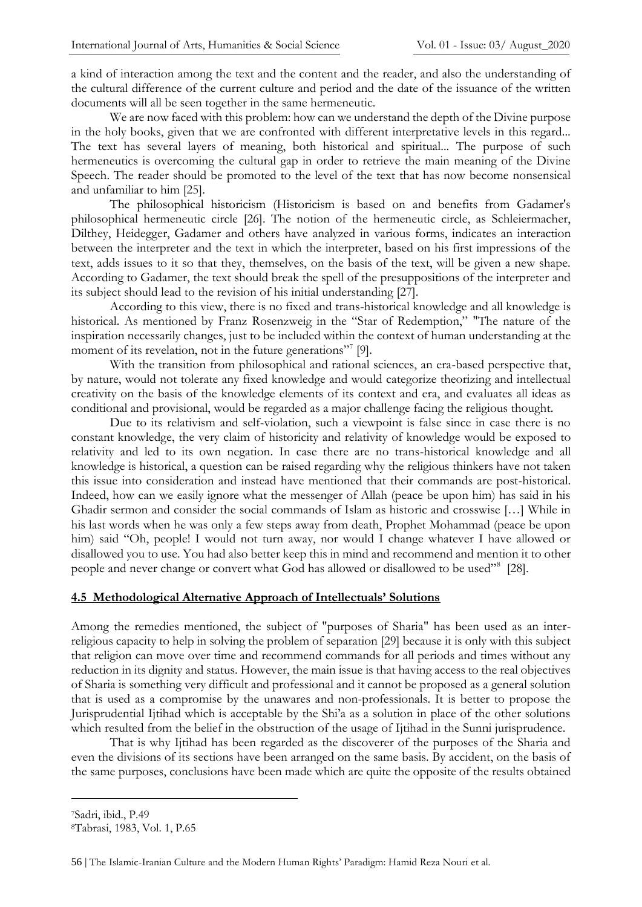a kind of interaction among the text and the content and the reader, and also the understanding of the cultural difference of the current culture and period and the date of the issuance of the written documents will all be seen together in the same hermeneutic.

We are now faced with this problem: how can we understand the depth of the Divine purpose in the holy books, given that we are confronted with different interpretative levels in this regard... The text has several layers of meaning, both historical and spiritual... The purpose of such hermeneutics is overcoming the cultural gap in order to retrieve the main meaning of the Divine Speech. The reader should be promoted to the level of the text that has now become nonsensical and unfamiliar to him [25].

The philosophical historicism (Historicism is based on and benefits from Gadamer's philosophical hermeneutic circle [26]. The notion of the hermeneutic circle, as Schleiermacher, Dilthey, Heidegger, Gadamer and others have analyzed in various forms, indicates an interaction between the interpreter and the text in which the interpreter, based on his first impressions of the text, adds issues to it so that they, themselves, on the basis of the text, will be given a new shape. According to Gadamer, the text should break the spell of the presuppositions of the interpreter and its subject should lead to the revision of his initial understanding [27].

According to this view, there is no fixed and trans-historical knowledge and all knowledge is historical. As mentioned by Franz Rosenzweig in the "Star of Redemption," "The nature of the inspiration necessarily changes, just to be included within the context of human understanding at the moment of its revelation, not in the future generations"<sup>7</sup> [9].

With the transition from philosophical and rational sciences, an era-based perspective that, by nature, would not tolerate any fixed knowledge and would categorize theorizing and intellectual creativity on the basis of the knowledge elements of its context and era, and evaluates all ideas as conditional and provisional, would be regarded as a major challenge facing the religious thought.

Due to its relativism and self-violation, such a viewpoint is false since in case there is no constant knowledge, the very claim of historicity and relativity of knowledge would be exposed to relativity and led to its own negation. In case there are no trans-historical knowledge and all knowledge is historical, a question can be raised regarding why the religious thinkers have not taken this issue into consideration and instead have mentioned that their commands are post-historical. Indeed, how can we easily ignore what the messenger of Allah (peace be upon him) has said in his Ghadir sermon and consider the social commands of Islam as historic and crosswise […] While in his last words when he was only a few steps away from death, Prophet Mohammad (peace be upon him) said "Oh, people! I would not turn away, nor would I change whatever I have allowed or disallowed you to use. You had also better keep this in mind and recommend and mention it to other people and never change or convert what God has allowed or disallowed to be used"<sup>8</sup> [28].

#### **4.5 Methodological Alternative Approach of Intellectuals' Solutions**

Among the remedies mentioned, the subject of "purposes of Sharia" has been used as an interreligious capacity to help in solving the problem of separation [29] because it is only with this subject that religion can move over time and recommend commands for all periods and times without any reduction in its dignity and status. However, the main issue is that having access to the real objectives of Sharia is something very difficult and professional and it cannot be proposed as a general solution that is used as a compromise by the unawares and non-professionals. It is better to propose the Jurisprudential Ijtihad which is acceptable by the Shi'a as a solution in place of the other solutions which resulted from the belief in the obstruction of the usage of Ijtihad in the Sunni jurisprudence.

That is why Ijtihad has been regarded as the discoverer of the purposes of the Sharia and even the divisions of its sections have been arranged on the same basis. By accident, on the basis of the same purposes, conclusions have been made which are quite the opposite of the results obtained

<sup>7</sup>Sadri, ibid., P.49

<sup>8</sup>Tabrasi, 1983, Vol. 1, P.65

<sup>56</sup> | The Islamic-Iranian Culture and the Modern Human Rights' Paradigm: Hamid Reza Nouri et al.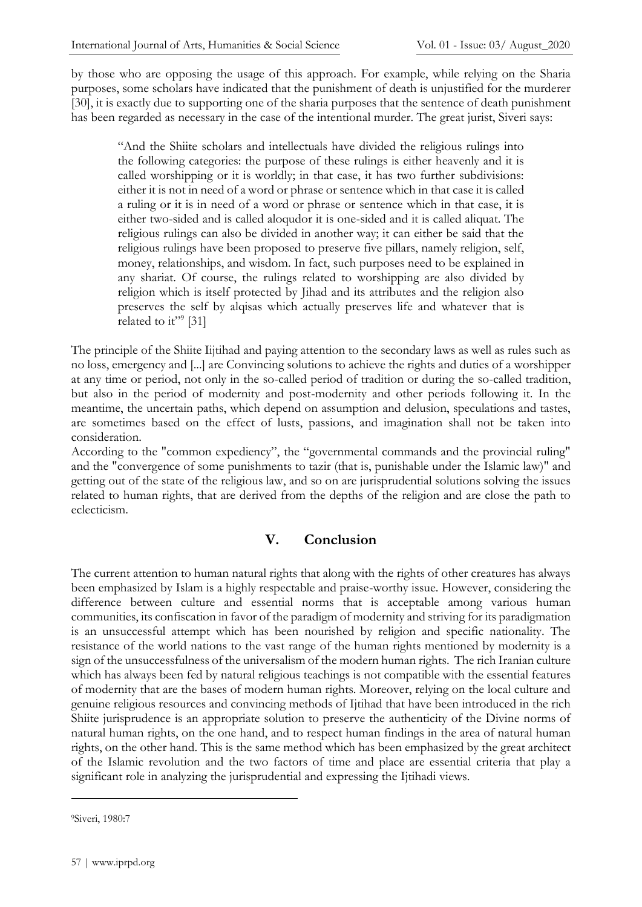by those who are opposing the usage of this approach. For example, while relying on the Sharia purposes, some scholars have indicated that the punishment of death is unjustified for the murderer [30], it is exactly due to supporting one of the sharia purposes that the sentence of death punishment has been regarded as necessary in the case of the intentional murder. The great jurist, Siveri says:

"And the Shiite scholars and intellectuals have divided the religious rulings into the following categories: the purpose of these rulings is either heavenly and it is called worshipping or it is worldly; in that case, it has two further subdivisions: either it is not in need of a word or phrase or sentence which in that case it is called a ruling or it is in need of a word or phrase or sentence which in that case, it is either two-sided and is called aloqudor it is one-sided and it is called aliquat. The religious rulings can also be divided in another way; it can either be said that the religious rulings have been proposed to preserve five pillars, namely religion, self, money, relationships, and wisdom. In fact, such purposes need to be explained in any shariat. Of course, the rulings related to worshipping are also divided by religion which is itself protected by Jihad and its attributes and the religion also preserves the self by alqisas which actually preserves life and whatever that is related to it"<sup>9</sup> [31]

The principle of the Shiite Iijtihad and paying attention to the secondary laws as well as rules such as no loss, emergency and [...] are Convincing solutions to achieve the rights and duties of a worshipper at any time or period, not only in the so-called period of tradition or during the so-called tradition, but also in the period of modernity and post-modernity and other periods following it. In the meantime, the uncertain paths, which depend on assumption and delusion, speculations and tastes, are sometimes based on the effect of lusts, passions, and imagination shall not be taken into consideration.

According to the "common expediency", the "governmental commands and the provincial ruling" and the "convergence of some punishments to tazir (that is, punishable under the Islamic law)" and getting out of the state of the religious law, and so on are jurisprudential solutions solving the issues related to human rights, that are derived from the depths of the religion and are close the path to eclecticism.

# **V. Conclusion**

The current attention to human natural rights that along with the rights of other creatures has always been emphasized by Islam is a highly respectable and praise-worthy issue. However, considering the difference between culture and essential norms that is acceptable among various human communities, its confiscation in favor of the paradigm of modernity and striving for its paradigmation is an unsuccessful attempt which has been nourished by religion and specific nationality. The resistance of the world nations to the vast range of the human rights mentioned by modernity is a sign of the unsuccessfulness of the universalism of the modern human rights. The rich Iranian culture which has always been fed by natural religious teachings is not compatible with the essential features of modernity that are the bases of modern human rights. Moreover, relying on the local culture and genuine religious resources and convincing methods of Ijtihad that have been introduced in the rich Shiite jurisprudence is an appropriate solution to preserve the authenticity of the Divine norms of natural human rights, on the one hand, and to respect human findings in the area of natural human rights, on the other hand. This is the same method which has been emphasized by the great architect of the Islamic revolution and the two factors of time and place are essential criteria that play a significant role in analyzing the jurisprudential and expressing the Ijtihadi views.

<sup>9</sup>Siveri, 1980:7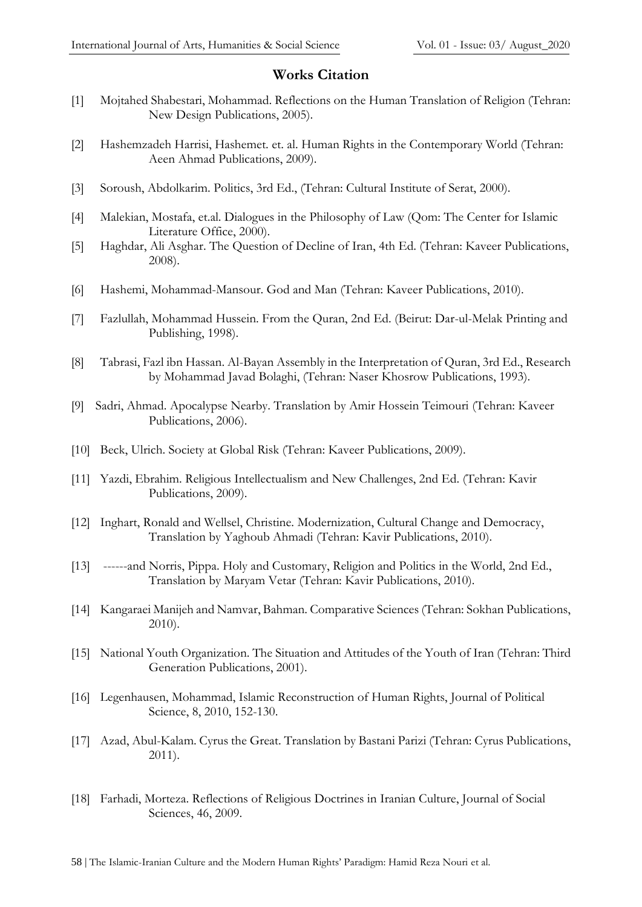#### **Works Citation**

- [1] Mojtahed Shabestari, Mohammad. Reflections on the Human Translation of Religion (Tehran: New Design Publications, 2005).
- [2] Hashemzadeh Harrisi, Hashemet. et. al. Human Rights in the Contemporary World (Tehran: Aeen Ahmad Publications, 2009).
- [3] Soroush, Abdolkarim. Politics, 3rd Ed., (Tehran: Cultural Institute of Serat, 2000).
- [4] Malekian, Mostafa, et.al. Dialogues in the Philosophy of Law (Qom: The Center for Islamic Literature Office, 2000).
- [5] Haghdar, Ali Asghar. The Question of Decline of Iran, 4th Ed. (Tehran: Kaveer Publications, 2008).
- [6] Hashemi, Mohammad-Mansour. God and Man (Tehran: Kaveer Publications, 2010).
- [7] Fazlullah, Mohammad Hussein. From the Quran, 2nd Ed. (Beirut: Dar-ul-Melak Printing and Publishing, 1998).
- [8] Tabrasi, Fazl ibn Hassan. Al-Bayan Assembly in the Interpretation of Quran, 3rd Ed., Research by Mohammad Javad Bolaghi, (Tehran: Naser Khosrow Publications, 1993).
- [9] Sadri, Ahmad. Apocalypse Nearby. Translation by Amir Hossein Teimouri (Tehran: Kaveer Publications, 2006).
- [10] Beck, Ulrich. Society at Global Risk (Tehran: Kaveer Publications, 2009).
- [11] Yazdi, Ebrahim. Religious Intellectualism and New Challenges, 2nd Ed. (Tehran: Kavir Publications, 2009).
- [12] Inghart, Ronald and Wellsel, Christine. Modernization, Cultural Change and Democracy, Translation by Yaghoub Ahmadi (Tehran: Kavir Publications, 2010).
- [13] ------and Norris, Pippa. Holy and Customary, Religion and Politics in the World, 2nd Ed., Translation by Maryam Vetar (Tehran: Kavir Publications, 2010).
- [14] Kangaraei Manijeh and Namvar, Bahman. Comparative Sciences (Tehran: Sokhan Publications, 2010).
- [15] National Youth Organization. The Situation and Attitudes of the Youth of Iran (Tehran: Third Generation Publications, 2001).
- [16] Legenhausen, Mohammad, Islamic Reconstruction of Human Rights, Journal of Political Science, 8, 2010, 152-130.
- [17] Azad, Abul-Kalam. Cyrus the Great. Translation by Bastani Parizi (Tehran: Cyrus Publications, 2011).
- [18] Farhadi, Morteza. Reflections of Religious Doctrines in Iranian Culture, Journal of Social Sciences, 46, 2009.